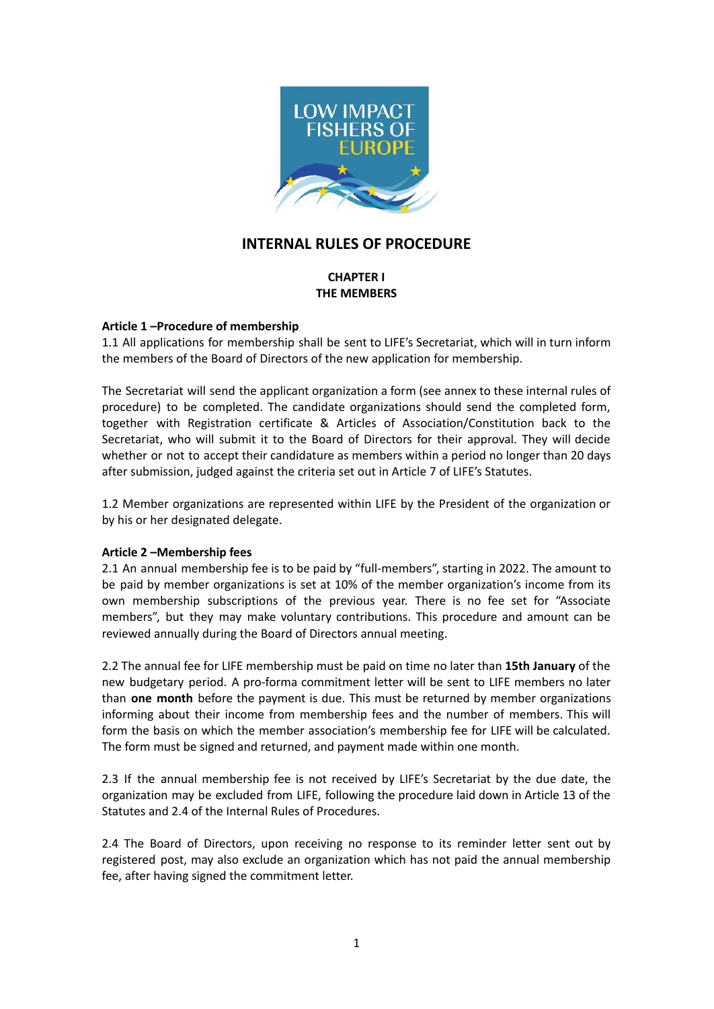

# **INTERNAL RULES OF PROCEDURE**

## **CHAPTER I THE MEMBERS**

## **Article 1 –Procedure of membership**

1.1 All applications for membership shall be sent to LIFE's Secretariat, which will in turn inform the members of the Board of Directors of the new application for membership.

The Secretariat will send the applicant organization a form (see annex to these internal rules of procedure) to be completed. The candidate organizations should send the completed form, together with Registration certificate & Articles of Association/Constitution back to the Secretariat, who will submit it to the Board of Directors for their approval. They will decide whether or not to accept their candidature as members within a period no longer than 20 days after submission, judged against the criteria set out in Article 7 of LIFE's Statutes.

1.2 Member organizations are represented within LIFE by the President of the organization or by his or her designated delegate.

## **Article 2 –Membership fees**

2.1 An annual membership fee is to be paid by "full-members", starting in 2022. The amount to be paid by member organizations is set at 10% of the member organization's income from its own membership subscriptions of the previous year. There is no fee set for "Associate members", but they may make voluntary contributions. This procedure and amount can be reviewed annually during the Board of Directors annual meeting.

2.2 The annual fee for LIFE membership must be paid on time no later than **15th January** of the new budgetary period. A pro-forma commitment letter will be sent to LIFE members no later than **one month** before the payment is due. This must be returned by member organizations informing about their income from membership fees and the number of members. This will form the basis on which the member association's membership fee for LIFE will be calculated. The form must be signed and returned, and payment made within one month.

2.3 If the annual membership fee is not received by LIFE's Secretariat by the due date, the organization may be excluded from LIFE, following the procedure laid down in Article 13 of the Statutes and 2.4 of the Internal Rules of Procedures.

2.4 The Board of Directors, upon receiving no response to its reminder letter sent out by registered post, may also exclude an organization which has not paid the annual membership fee, after having signed the commitment letter.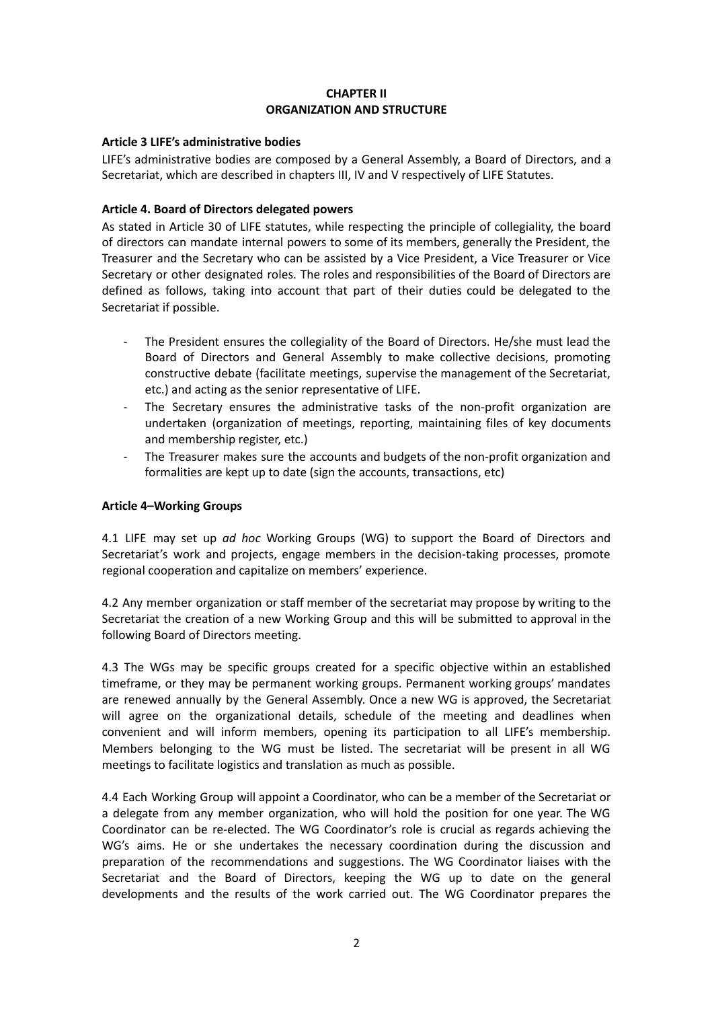## **CHAPTER II ORGANIZATION AND STRUCTURE**

## **Article 3 LIFE's administrative bodies**

LIFE's administrative bodies are composed by a General Assembly, a Board of Directors, and a Secretariat, which are described in chapters III, IV and V respectively of LIFE Statutes.

## **Article 4. Board of Directors delegated powers**

As stated in Article 30 of LIFE statutes, while respecting the principle of collegiality, the board of directors can mandate internal powers to some of its members, generally the President, the Treasurer and the Secretary who can be assisted by a Vice President, a Vice Treasurer or Vice Secretary or other designated roles. The roles and responsibilities of the Board of Directors are defined as follows, taking into account that part of their duties could be delegated to the Secretariat if possible.

- The President ensures the collegiality of the Board of Directors. He/she must lead the Board of Directors and General Assembly to make collective decisions, promoting constructive debate (facilitate meetings, supervise the management of the Secretariat, etc.) and acting as the senior representative of LIFE.
- The Secretary ensures the administrative tasks of the non-profit organization are undertaken (organization of meetings, reporting, maintaining files of key documents and membership register, etc.)
- The Treasurer makes sure the accounts and budgets of the non-profit organization and formalities are kept up to date (sign the accounts, transactions, etc)

## **Article 4–Working Groups**

4.1 LIFE may set up *ad hoc* Working Groups (WG) to support the Board of Directors and Secretariat's work and projects, engage members in the decision-taking processes, promote regional cooperation and capitalize on members' experience.

4.2 Any member organization or staff member of the secretariat may propose by writing to the Secretariat the creation of a new Working Group and this will be submitted to approval in the following Board of Directors meeting.

4.3 The WGs may be specific groups created for a specific objective within an established timeframe, or they may be permanent working groups. Permanent working groups' mandates are renewed annually by the General Assembly. Once a new WG is approved, the Secretariat will agree on the organizational details, schedule of the meeting and deadlines when convenient and will inform members, opening its participation to all LIFE's membership. Members belonging to the WG must be listed. The secretariat will be present in all WG meetings to facilitate logistics and translation as much as possible.

4.4 Each Working Group will appoint a Coordinator, who can be a member of the Secretariat or a delegate from any member organization, who will hold the position for one year. The WG Coordinator can be re-elected. The WG Coordinator's role is crucial as regards achieving the WG's aims. He or she undertakes the necessary coordination during the discussion and preparation of the recommendations and suggestions. The WG Coordinator liaises with the Secretariat and the Board of Directors, keeping the WG up to date on the general developments and the results of the work carried out. The WG Coordinator prepares the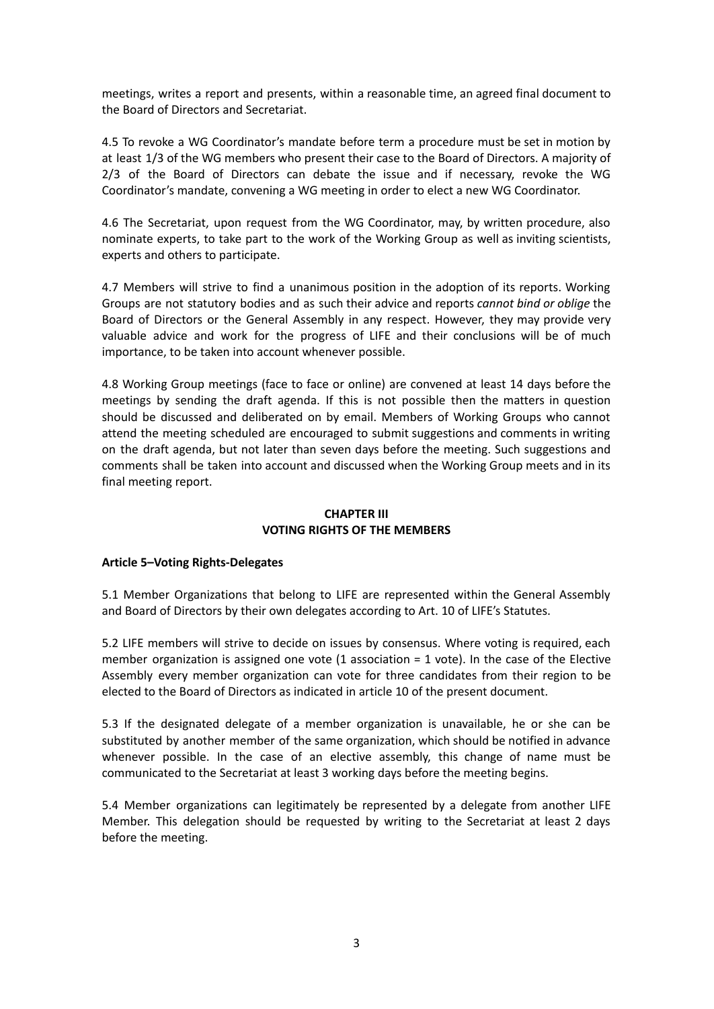meetings, writes a report and presents, within a reasonable time, an agreed final document to the Board of Directors and Secretariat.

4.5 To revoke a WG Coordinator's mandate before term a procedure must be set in motion by at least 1/3 of the WG members who present their case to the Board of Directors. A majority of 2/3 of the Board of Directors can debate the issue and if necessary, revoke the WG Coordinator's mandate, convening a WG meeting in order to elect a new WG Coordinator.

4.6 The Secretariat, upon request from the WG Coordinator, may, by written procedure, also nominate experts, to take part to the work of the Working Group as well as inviting scientists, experts and others to participate.

4.7 Members will strive to find a unanimous position in the adoption of its reports. Working Groups are not statutory bodies and as such their advice and reports *cannot bind or oblige* the Board of Directors or the General Assembly in any respect. However, they may provide very valuable advice and work for the progress of LIFE and their conclusions will be of much importance, to be taken into account whenever possible.

4.8 Working Group meetings (face to face or online) are convened at least 14 days before the meetings by sending the draft agenda. If this is not possible then the matters in question should be discussed and deliberated on by email. Members of Working Groups who cannot attend the meeting scheduled are encouraged to submit suggestions and comments in writing on the draft agenda, but not later than seven days before the meeting. Such suggestions and comments shall be taken into account and discussed when the Working Group meets and in its final meeting report.

## **CHAPTER III VOTING RIGHTS OF THE MEMBERS**

## **Article 5–Voting Rights-Delegates**

5.1 Member Organizations that belong to LIFE are represented within the General Assembly and Board of Directors by their own delegates according to Art. 10 of LIFE's Statutes.

5.2 LIFE members will strive to decide on issues by consensus. Where voting is required, each member organization is assigned one vote  $(1$  association = 1 vote). In the case of the Elective Assembly every member organization can vote for three candidates from their region to be elected to the Board of Directors as indicated in article 10 of the present document.

5.3 If the designated delegate of a member organization is unavailable, he or she can be substituted by another member of the same organization, which should be notified in advance whenever possible. In the case of an elective assembly, this change of name must be communicated to the Secretariat at least 3 working days before the meeting begins.

5.4 Member organizations can legitimately be represented by a delegate from another LIFE Member. This delegation should be requested by writing to the Secretariat at least 2 days before the meeting.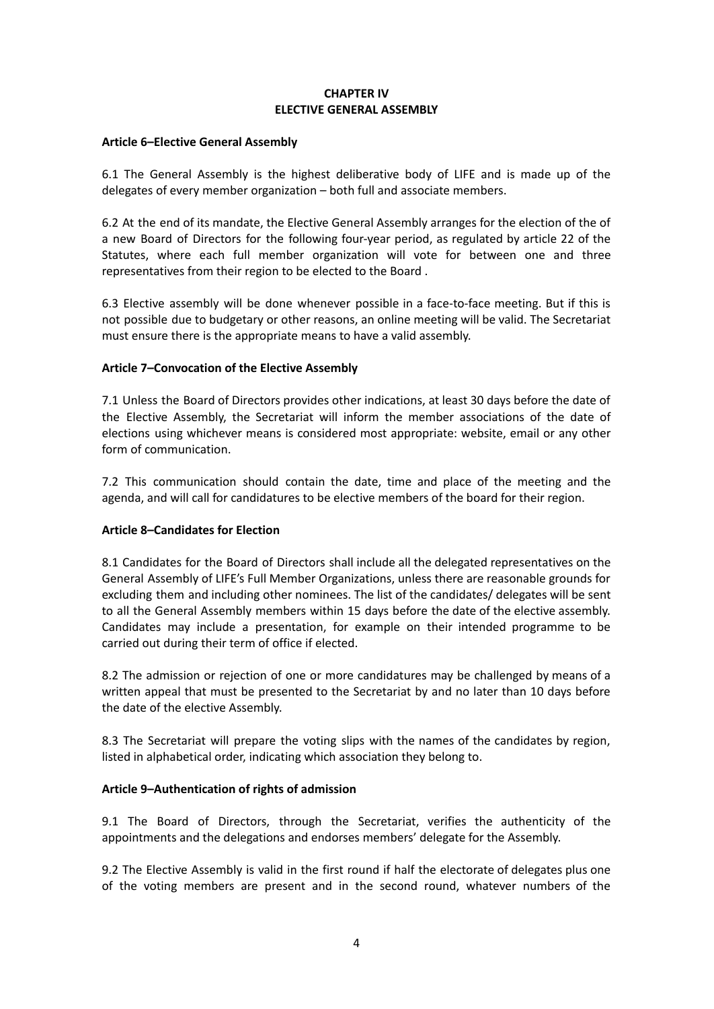## **CHAPTER IV ELECTIVE GENERAL ASSEMBLY**

#### **Article 6–Elective General Assembly**

6.1 The General Assembly is the highest deliberative body of LIFE and is made up of the delegates of every member organization – both full and associate members.

6.2 At the end of its mandate, the Elective General Assembly arranges for the election of the of a new Board of Directors for the following four-year period, as regulated by article 22 of the Statutes, where each full member organization will vote for between one and three representatives from their region to be elected to the Board .

6.3 Elective assembly will be done whenever possible in a face-to-face meeting. But if this is not possible due to budgetary or other reasons, an online meeting will be valid. The Secretariat must ensure there is the appropriate means to have a valid assembly.

## **Article 7–Convocation of the Elective Assembly**

7.1 Unless the Board of Directors provides other indications, at least 30 days before the date of the Elective Assembly, the Secretariat will inform the member associations of the date of elections using whichever means is considered most appropriate: website, email or any other form of communication.

7.2 This communication should contain the date, time and place of the meeting and the agenda, and will call for candidatures to be elective members of the board for their region.

## **Article 8–Candidates for Election**

8.1 Candidates for the Board of Directors shall include all the delegated representatives on the General Assembly of LIFE's Full Member Organizations, unless there are reasonable grounds for excluding them and including other nominees. The list of the candidates/ delegates will be sent to all the General Assembly members within 15 days before the date of the elective assembly. Candidates may include a presentation, for example on their intended programme to be carried out during their term of office if elected.

8.2 The admission or rejection of one or more candidatures may be challenged by means of a written appeal that must be presented to the Secretariat by and no later than 10 days before the date of the elective Assembly.

8.3 The Secretariat will prepare the voting slips with the names of the candidates by region, listed in alphabetical order, indicating which association they belong to.

#### **Article 9–Authentication of rights of admission**

9.1 The Board of Directors, through the Secretariat, verifies the authenticity of the appointments and the delegations and endorses members' delegate for the Assembly.

9.2 The Elective Assembly is valid in the first round if half the electorate of delegates plus one of the voting members are present and in the second round, whatever numbers of the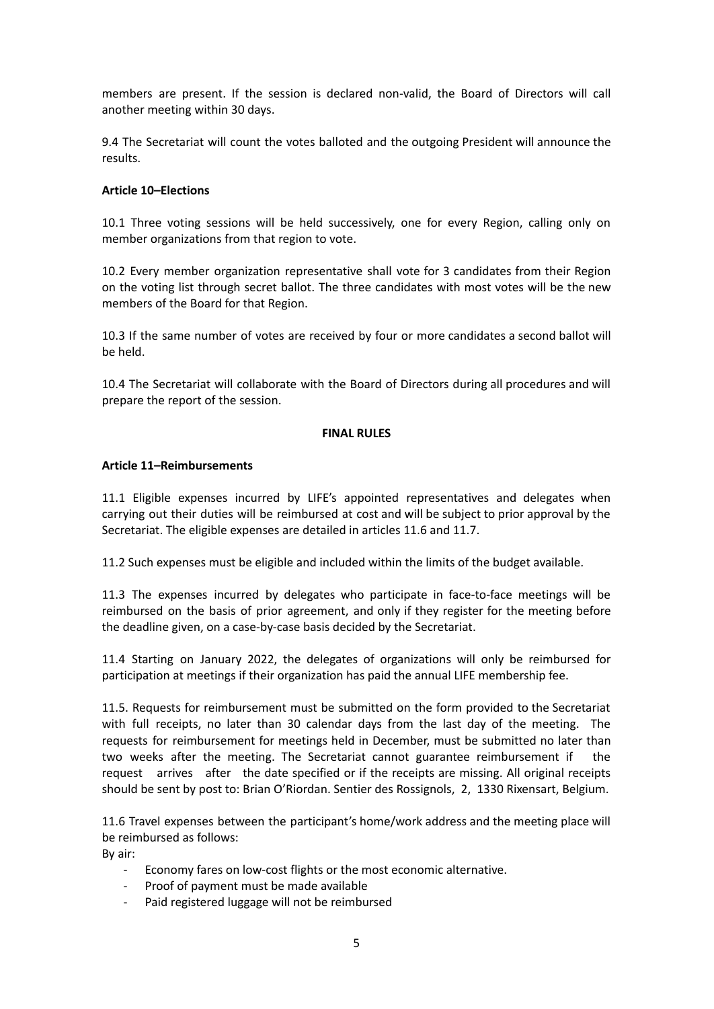members are present. If the session is declared non-valid, the Board of Directors will call another meeting within 30 days.

9.4 The Secretariat will count the votes balloted and the outgoing President will announce the results.

## **Article 10–Elections**

10.1 Three voting sessions will be held successively, one for every Region, calling only on member organizations from that region to vote.

10.2 Every member organization representative shall vote for 3 candidates from their Region on the voting list through secret ballot. The three candidates with most votes will be the new members of the Board for that Region.

10.3 If the same number of votes are received by four or more candidates a second ballot will be held.

10.4 The Secretariat will collaborate with the Board of Directors during all procedures and will prepare the report of the session.

#### **FINAL RULES**

## **Article 11–Reimbursements**

11.1 Eligible expenses incurred by LIFE's appointed representatives and delegates when carrying out their duties will be reimbursed at cost and will be subject to prior approval by the Secretariat. The eligible expenses are detailed in articles 11.6 and 11.7.

11.2 Such expenses must be eligible and included within the limits of the budget available.

11.3 The expenses incurred by delegates who participate in face-to-face meetings will be reimbursed on the basis of prior agreement, and only if they register for the meeting before the deadline given, on a case-by-case basis decided by the Secretariat.

11.4 Starting on January 2022, the delegates of organizations will only be reimbursed for participation at meetings if their organization has paid the annual LIFE membership fee.

11.5. Requests for reimbursement must be submitted on the form provided to the Secretariat with full receipts, no later than 30 calendar days from the last day of the meeting. The requests for reimbursement for meetings held in December, must be submitted no later than two weeks after the meeting. The Secretariat cannot guarantee reimbursement if the request arrives after the date specified or if the receipts are missing. All original receipts should be sent by post to: Brian O'Riordan. Sentier des Rossignols, 2, 1330 Rixensart, Belgium.

11.6 Travel expenses between the participant's home/work address and the meeting place will be reimbursed as follows:

By air:

- Economy fares on low-cost flights or the most economic alternative.
- Proof of payment must be made available
- Paid registered luggage will not be reimbursed